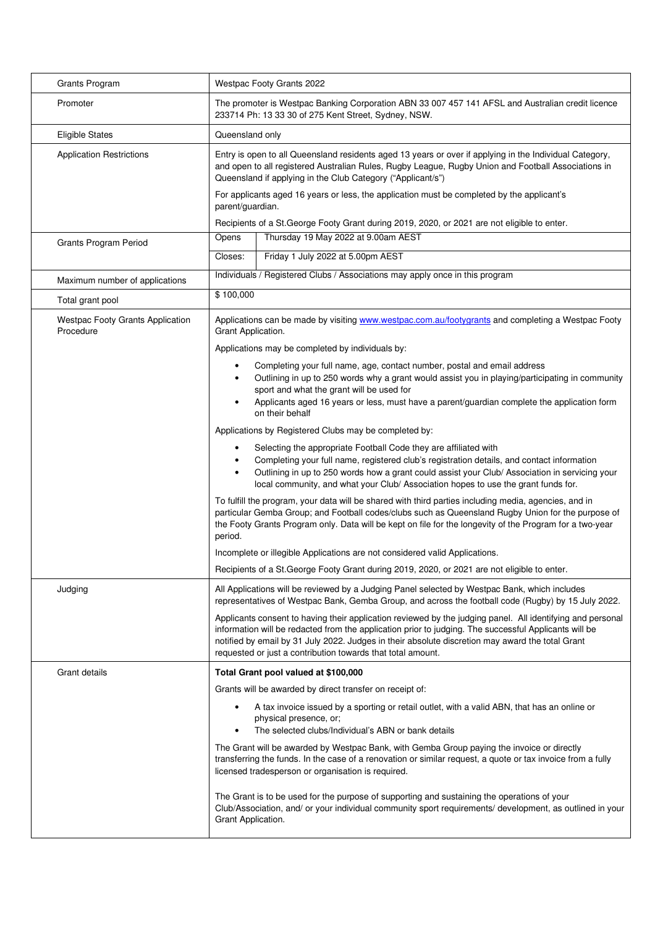| Grants Program                                | Westpac Footy Grants 2022                                                                                                                                                                                                                                                                                                                                                              |
|-----------------------------------------------|----------------------------------------------------------------------------------------------------------------------------------------------------------------------------------------------------------------------------------------------------------------------------------------------------------------------------------------------------------------------------------------|
| Promoter                                      | The promoter is Westpac Banking Corporation ABN 33 007 457 141 AFSL and Australian credit licence<br>233714 Ph: 13 33 30 of 275 Kent Street, Sydney, NSW.                                                                                                                                                                                                                              |
| <b>Eligible States</b>                        | Queensland only                                                                                                                                                                                                                                                                                                                                                                        |
| <b>Application Restrictions</b>               | Entry is open to all Queensland residents aged 13 years or over if applying in the Individual Category,<br>and open to all registered Australian Rules, Rugby League, Rugby Union and Football Associations in<br>Queensland if applying in the Club Category ("Applicant/s")                                                                                                          |
|                                               | For applicants aged 16 years or less, the application must be completed by the applicant's<br>parent/guardian.                                                                                                                                                                                                                                                                         |
|                                               | Recipients of a St. George Footy Grant during 2019, 2020, or 2021 are not eligible to enter.                                                                                                                                                                                                                                                                                           |
| Grants Program Period                         | Thursday 19 May 2022 at 9.00am AEST<br>Opens                                                                                                                                                                                                                                                                                                                                           |
|                                               | Friday 1 July 2022 at 5.00pm AEST<br>Closes:                                                                                                                                                                                                                                                                                                                                           |
| Maximum number of applications                | Individuals / Registered Clubs / Associations may apply once in this program                                                                                                                                                                                                                                                                                                           |
| Total grant pool                              | \$100,000                                                                                                                                                                                                                                                                                                                                                                              |
| Westpac Footy Grants Application<br>Procedure | Applications can be made by visiting www.westpac.com.au/footygrants and completing a Westpac Footy<br>Grant Application.                                                                                                                                                                                                                                                               |
|                                               | Applications may be completed by individuals by:                                                                                                                                                                                                                                                                                                                                       |
|                                               | Completing your full name, age, contact number, postal and email address<br>Outlining in up to 250 words why a grant would assist you in playing/participating in community<br>sport and what the grant will be used for<br>Applicants aged 16 years or less, must have a parent/guardian complete the application form<br>on their behalf                                             |
|                                               | Applications by Registered Clubs may be completed by:                                                                                                                                                                                                                                                                                                                                  |
|                                               | Selecting the appropriate Football Code they are affiliated with<br>Completing your full name, registered club's registration details, and contact information<br>Outlining in up to 250 words how a grant could assist your Club/ Association in servicing your<br>local community, and what your Club/ Association hopes to use the grant funds for.                                 |
|                                               | To fulfill the program, your data will be shared with third parties including media, agencies, and in<br>particular Gemba Group; and Football codes/clubs such as Queensland Rugby Union for the purpose of<br>the Footy Grants Program only. Data will be kept on file for the longevity of the Program for a two-year<br>period.                                                     |
|                                               | Incomplete or illegible Applications are not considered valid Applications.                                                                                                                                                                                                                                                                                                            |
|                                               | Recipients of a St. George Footy Grant during 2019, 2020, or 2021 are not eligible to enter.                                                                                                                                                                                                                                                                                           |
| Judging                                       | All Applications will be reviewed by a Judging Panel selected by Westpac Bank, which includes<br>representatives of Westpac Bank, Gemba Group, and across the football code (Rugby) by 15 July 2022.                                                                                                                                                                                   |
|                                               | Applicants consent to having their application reviewed by the judging panel. All identifying and personal<br>information will be redacted from the application prior to judging. The successful Applicants will be<br>notified by email by 31 July 2022. Judges in their absolute discretion may award the total Grant<br>requested or just a contribution towards that total amount. |
| Grant details                                 | Total Grant pool valued at \$100,000                                                                                                                                                                                                                                                                                                                                                   |
|                                               | Grants will be awarded by direct transfer on receipt of:                                                                                                                                                                                                                                                                                                                               |
|                                               | A tax invoice issued by a sporting or retail outlet, with a valid ABN, that has an online or<br>physical presence, or;<br>The selected clubs/Individual's ABN or bank details                                                                                                                                                                                                          |
|                                               | The Grant will be awarded by Westpac Bank, with Gemba Group paying the invoice or directly<br>transferring the funds. In the case of a renovation or similar request, a quote or tax invoice from a fully<br>licensed tradesperson or organisation is required.                                                                                                                        |
|                                               | The Grant is to be used for the purpose of supporting and sustaining the operations of your<br>Club/Association, and/ or your individual community sport requirements/ development, as outlined in your<br>Grant Application.                                                                                                                                                          |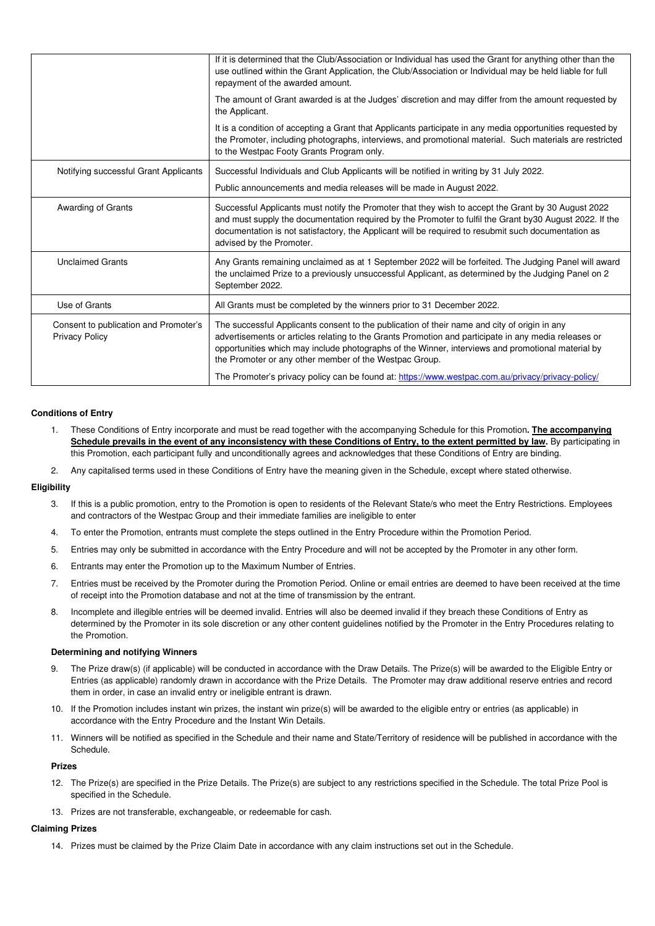|                                                                | If it is determined that the Club/Association or Individual has used the Grant for anything other than the<br>use outlined within the Grant Application, the Club/Association or Individual may be held liable for full<br>repayment of the awarded amount.                                                                                                         |
|----------------------------------------------------------------|---------------------------------------------------------------------------------------------------------------------------------------------------------------------------------------------------------------------------------------------------------------------------------------------------------------------------------------------------------------------|
|                                                                | The amount of Grant awarded is at the Judges' discretion and may differ from the amount requested by<br>the Applicant.                                                                                                                                                                                                                                              |
|                                                                | It is a condition of accepting a Grant that Applicants participate in any media opportunities requested by<br>the Promoter, including photographs, interviews, and promotional material. Such materials are restricted<br>to the Westpac Footy Grants Program only.                                                                                                 |
| Notifying successful Grant Applicants                          | Successful Individuals and Club Applicants will be notified in writing by 31 July 2022.                                                                                                                                                                                                                                                                             |
|                                                                | Public announcements and media releases will be made in August 2022.                                                                                                                                                                                                                                                                                                |
| Awarding of Grants                                             | Successful Applicants must notify the Promoter that they wish to accept the Grant by 30 August 2022<br>and must supply the documentation required by the Promoter to fulfil the Grant by 30 August 2022. If the<br>documentation is not satisfactory, the Applicant will be required to resubmit such documentation as<br>advised by the Promoter.                  |
| <b>Unclaimed Grants</b>                                        | Any Grants remaining unclaimed as at 1 September 2022 will be forfeited. The Judging Panel will award<br>the unclaimed Prize to a previously unsuccessful Applicant, as determined by the Judging Panel on 2<br>September 2022.                                                                                                                                     |
| Use of Grants                                                  | All Grants must be completed by the winners prior to 31 December 2022.                                                                                                                                                                                                                                                                                              |
| Consent to publication and Promoter's<br><b>Privacy Policy</b> | The successful Applicants consent to the publication of their name and city of origin in any<br>advertisements or articles relating to the Grants Promotion and participate in any media releases or<br>opportunities which may include photographs of the Winner, interviews and promotional material by<br>the Promoter or any other member of the Westpac Group. |
|                                                                | The Promoter's privacy policy can be found at: https://www.westpac.com.au/privacy/privacy-policy/                                                                                                                                                                                                                                                                   |

## **Conditions of Entry**

- 1. These Conditions of Entry incorporate and must be read together with the accompanying Schedule for this Promotion**. The accompanying Schedule prevails in the event of any inconsistency with these Conditions of Entry, to the extent permitted by law.** By participating in this Promotion, each participant fully and unconditionally agrees and acknowledges that these Conditions of Entry are binding.
- 2. Any capitalised terms used in these Conditions of Entry have the meaning given in the Schedule, except where stated otherwise.

### **Eligibility**

- 3. If this is a public promotion, entry to the Promotion is open to residents of the Relevant State/s who meet the Entry Restrictions. Employees and contractors of the Westpac Group and their immediate families are ineligible to enter
- 4. To enter the Promotion, entrants must complete the steps outlined in the Entry Procedure within the Promotion Period.
- 5. Entries may only be submitted in accordance with the Entry Procedure and will not be accepted by the Promoter in any other form.
- 6. Entrants may enter the Promotion up to the Maximum Number of Entries.
- 7. Entries must be received by the Promoter during the Promotion Period. Online or email entries are deemed to have been received at the time of receipt into the Promotion database and not at the time of transmission by the entrant.
- 8. Incomplete and illegible entries will be deemed invalid. Entries will also be deemed invalid if they breach these Conditions of Entry as determined by the Promoter in its sole discretion or any other content guidelines notified by the Promoter in the Entry Procedures relating to the Promotion.

### **Determining and notifying Winners**

- 9. The Prize draw(s) (if applicable) will be conducted in accordance with the Draw Details. The Prize(s) will be awarded to the Eligible Entry or Entries (as applicable) randomly drawn in accordance with the Prize Details. The Promoter may draw additional reserve entries and record them in order, in case an invalid entry or ineligible entrant is drawn.
- 10. If the Promotion includes instant win prizes, the instant win prize(s) will be awarded to the eligible entry or entries (as applicable) in accordance with the Entry Procedure and the Instant Win Details.
- 11. Winners will be notified as specified in the Schedule and their name and State/Territory of residence will be published in accordance with the Schedule.

## **Prizes**

- 12. The Prize(s) are specified in the Prize Details. The Prize(s) are subject to any restrictions specified in the Schedule. The total Prize Pool is specified in the Schedule.
- 13. Prizes are not transferable, exchangeable, or redeemable for cash.

#### **Claiming Prizes**

14. Prizes must be claimed by the Prize Claim Date in accordance with any claim instructions set out in the Schedule.